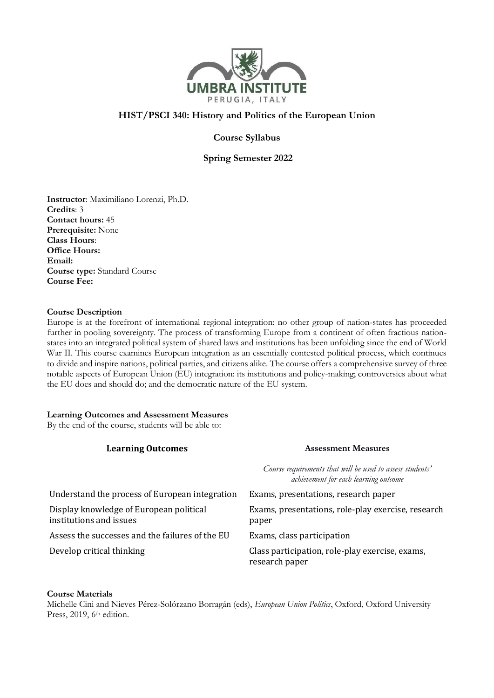

# **HIST/PSCI 340: History and Politics of the European Union**

**Course Syllabus**

 **Spring Semester 2022**

**Instructor**: Maximiliano Lorenzi, Ph.D. **Credits**: 3 **Contact hours:** 45 **Prerequisite:** None **Class Hours**: **Office Hours: Email: Course type:** Standard Course **Course Fee:**

### **Course Description**

Europe is at the forefront of international regional integration: no other group of nation-states has proceeded further in pooling sovereignty. The process of transforming Europe from a continent of often fractious nationstates into an integrated political system of shared laws and institutions has been unfolding since the end of World War II. This course examines European integration as an essentially contested political process, which continues to divide and inspire nations, political parties, and citizens alike. The course offers a comprehensive survey of three notable aspects of European Union (EU) integration: its institutions and policy-making; controversies about what the EU does and should do; and the democratic nature of the EU system.

## **Learning Outcomes and Assessment Measures**

By the end of the course, students will be able to:

| <b>Learning Outcomes</b>                                           | <b>Assessment Measures</b>                                                                         |  |
|--------------------------------------------------------------------|----------------------------------------------------------------------------------------------------|--|
|                                                                    | Course requirements that will be used to assess students'<br>achievement for each learning outcome |  |
| Understand the process of European integration                     | Exams, presentations, research paper                                                               |  |
| Display knowledge of European political<br>institutions and issues | Exams, presentations, role-play exercise, research<br>paper                                        |  |
| Assess the successes and the failures of the EU                    | Exams, class participation                                                                         |  |
| Develop critical thinking                                          | Class participation, role-play exercise, exams,<br>research paper                                  |  |

### **Course Materials**

Michelle Cini and Nieves Pérez-Solórzano Borragán (eds), *European Union Politics*, Oxford, Oxford University Press, 2019, 6<sup>th</sup> edition.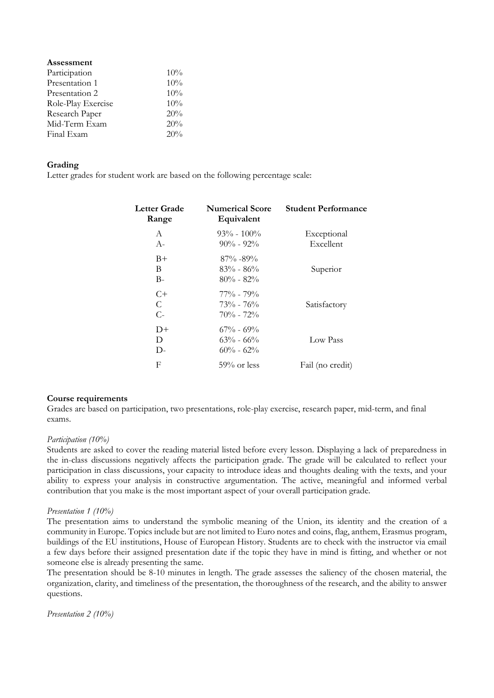| Assessment         |     |
|--------------------|-----|
| Participation      | 10% |
| Presentation 1     | 10% |
| Presentation 2     | 10% |
| Role-Play Exercise | 10% |
| Research Paper     | 20% |
| Mid-Term Exam      | 20% |
| Final Exam         | 20% |

### **Grading**

Letter grades for student work are based on the following percentage scale:

| Letter Grade<br>Range | <b>Numerical Score</b><br>Equivalent              | <b>Student Performance</b> |
|-----------------------|---------------------------------------------------|----------------------------|
| A<br>$A-$             | $93\% - 100\%$<br>$90\% - 92\%$                   | Exceptional<br>Excellent   |
| $B+$<br>B<br>$B-$     | $87\% - 89\%$<br>$83\% - 86\%$<br>$80\% - 82\%$   | Superior                   |
| $C+$<br>C<br>$C-$     | $77\%$ - $79\%$<br>$73\% - 76\%$<br>$70\% - 72\%$ | Satisfactory               |
| $D+$<br>D<br>D-       | $67\% - 69\%$<br>$63\% - 66\%$<br>$60\% - 62\%$   | Low Pass                   |
| F                     | $59\%$ or less                                    | Fail (no credit)           |

### **Course requirements**

Grades are based on participation, two presentations, role-play exercise, research paper, mid-term, and final exams.

### *Participation (10%)*

Students are asked to cover the reading material listed before every lesson. Displaying a lack of preparedness in the in-class discussions negatively affects the participation grade. The grade will be calculated to reflect your participation in class discussions, your capacity to introduce ideas and thoughts dealing with the texts, and your ability to express your analysis in constructive argumentation. The active, meaningful and informed verbal contribution that you make is the most important aspect of your overall participation grade.

### *Presentation 1 (10%)*

The presentation aims to understand the symbolic meaning of the Union, its identity and the creation of a community in Europe. Topics include but are not limited to Euro notes and coins, flag, anthem, Erasmus program, buildings of the EU institutions, House of European History. Students are to check with the instructor via email a few days before their assigned presentation date if the topic they have in mind is fitting, and whether or not someone else is already presenting the same.

The presentation should be 8-10 minutes in length. The grade assesses the saliency of the chosen material, the organization, clarity, and timeliness of the presentation, the thoroughness of the research, and the ability to answer questions.

*Presentation 2 (10%)*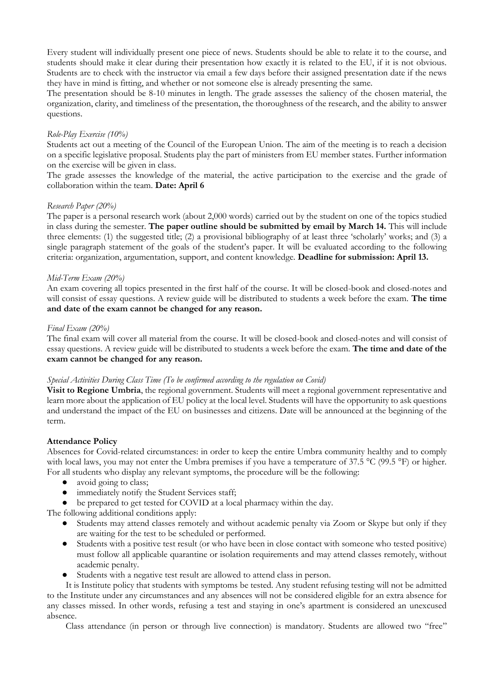Every student will individually present one piece of news. Students should be able to relate it to the course, and students should make it clear during their presentation how exactly it is related to the EU, if it is not obvious. Students are to check with the instructor via email a few days before their assigned presentation date if the news they have in mind is fitting, and whether or not someone else is already presenting the same.

The presentation should be 8-10 minutes in length. The grade assesses the saliency of the chosen material, the organization, clarity, and timeliness of the presentation, the thoroughness of the research, and the ability to answer questions.

## *Role-Play Exercise (10%)*

Students act out a meeting of the Council of the European Union. The aim of the meeting is to reach a decision on a specific legislative proposal. Students play the part of ministers from EU member states. Further information on the exercise will be given in class.

The grade assesses the knowledge of the material, the active participation to the exercise and the grade of collaboration within the team. **Date: April 6**

## *Research Paper (20%)*

The paper is a personal research work (about 2,000 words) carried out by the student on one of the topics studied in class during the semester. **The paper outline should be submitted by email by March 14.** This will include three elements: (1) the suggested title; (2) a provisional bibliography of at least three 'scholarly' works; and (3) a single paragraph statement of the goals of the student's paper. It will be evaluated according to the following criteria: organization, argumentation, support, and content knowledge. **Deadline for submission: April 13.**

### *Mid-Term Exam (20%)*

An exam covering all topics presented in the first half of the course. It will be closed-book and closed-notes and will consist of essay questions. A review guide will be distributed to students a week before the exam. **The time and date of the exam cannot be changed for any reason.**

### *Final Exam (20%)*

The final exam will cover all material from the course. It will be closed-book and closed-notes and will consist of essay questions. A review guide will be distributed to students a week before the exam. **The time and date of the exam cannot be changed for any reason.** 

## *Special Activities During Class Time (To be confirmed according to the regulation on Covid)*

**Visit to Regione Umbria**, the regional government. Students will meet a regional government representative and learn more about the application of EU policy at the local level. Students will have the opportunity to ask questions and understand the impact of the EU on businesses and citizens. Date will be announced at the beginning of the term.

### **Attendance Policy**

Absences for Covid-related circumstances: in order to keep the entire Umbra community healthy and to comply with local laws, you may not enter the Umbra premises if you have a temperature of 37.5 °C (99.5 °F) or higher. For all students who display any relevant symptoms, the procedure will be the following:

- avoid going to class;
- immediately notify the Student Services staff;
- be prepared to get tested for COVID at a local pharmacy within the day.

The following additional conditions apply:

- Students may attend classes remotely and without academic penalty via Zoom or Skype but only if they are waiting for the test to be scheduled or performed.
- Students with a positive test result (or who have been in close contact with someone who tested positive) must follow all applicable quarantine or isolation requirements and may attend classes remotely, without academic penalty.
- Students with a negative test result are allowed to attend class in person.

It is Institute policy that students with symptoms be tested. Any student refusing testing will not be admitted to the Institute under any circumstances and any absences will not be considered eligible for an extra absence for any classes missed. In other words, refusing a test and staying in one's apartment is considered an unexcused absence.

Class attendance (in person or through live connection) is mandatory. Students are allowed two "free"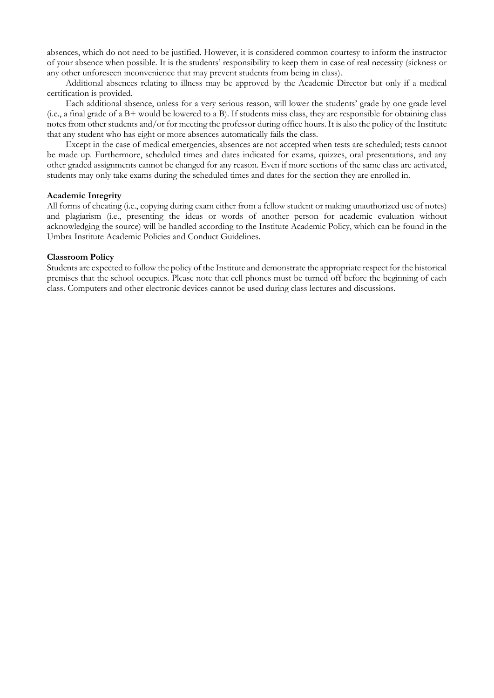absences, which do not need to be justified. However, it is considered common courtesy to inform the instructor of your absence when possible. It is the students' responsibility to keep them in case of real necessity (sickness or any other unforeseen inconvenience that may prevent students from being in class).

Additional absences relating to illness may be approved by the Academic Director but only if a medical certification is provided.

Each additional absence, unless for a very serious reason, will lower the students' grade by one grade level (i.e., a final grade of a B+ would be lowered to a B). If students miss class, they are responsible for obtaining class notes from other students and/or for meeting the professor during office hours. It is also the policy of the Institute that any student who has eight or more absences automatically fails the class.

Except in the case of medical emergencies, absences are not accepted when tests are scheduled; tests cannot be made up. Furthermore, scheduled times and dates indicated for exams, quizzes, oral presentations, and any other graded assignments cannot be changed for any reason. Even if more sections of the same class are activated, students may only take exams during the scheduled times and dates for the section they are enrolled in.

### **Academic Integrity**

All forms of cheating (i.e., copying during exam either from a fellow student or making unauthorized use of notes) and plagiarism (i.e., presenting the ideas or words of another person for academic evaluation without acknowledging the source) will be handled according to the Institute Academic Policy, which can be found in the Umbra Institute Academic Policies and Conduct Guidelines.

#### **Classroom Policy**

Students are expected to follow the policy of the Institute and demonstrate the appropriate respect for the historical premises that the school occupies. Please note that cell phones must be turned off before the beginning of each class. Computers and other electronic devices cannot be used during class lectures and discussions.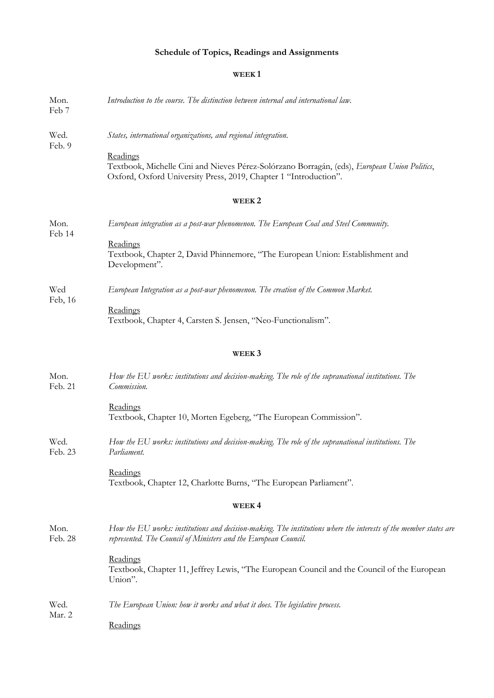# **Schedule of Topics, Readings and Assignments**

# **WEEK 1**

| Mon.<br>Feb 7   | Introduction to the course. The distinction between internal and international law.                                                                                                                                                            |
|-----------------|------------------------------------------------------------------------------------------------------------------------------------------------------------------------------------------------------------------------------------------------|
| Wed.<br>Feb. 9  | States, international organizations, and regional integration.<br>Readings<br>Textbook, Michelle Cini and Nieves Pérez-Solórzano Borragán, (eds), European Union Politics,<br>Oxford, Oxford University Press, 2019, Chapter 1 "Introduction". |
|                 | WEEK <sub>2</sub>                                                                                                                                                                                                                              |
| Mon.<br>Feb 14  | European integration as a post-war phenomenon. The European Coal and Steel Community.                                                                                                                                                          |
|                 | Readings<br>Textbook, Chapter 2, David Phinnemore, "The European Union: Establishment and<br>Development".                                                                                                                                     |
| Wed<br>Feb, 16  | European Integration as a post-war phenomenon. The creation of the Common Market.                                                                                                                                                              |
|                 | Readings<br>Textbook, Chapter 4, Carsten S. Jensen, "Neo-Functionalism".                                                                                                                                                                       |
|                 | WEEK <sub>3</sub>                                                                                                                                                                                                                              |
| Mon.<br>Feb. 21 | How the EU works: institutions and decision-making. The role of the supranational institutions. The<br>Commission.                                                                                                                             |
|                 | Readings<br>Textbook, Chapter 10, Morten Egeberg, "The European Commission".                                                                                                                                                                   |
| Wed.<br>Feb. 23 | How the EU works: institutions and decision-making. The role of the supranational institutions. The<br>Parliament.                                                                                                                             |
|                 | Readings<br>Textbook, Chapter 12, Charlotte Burns, "The European Parliament".                                                                                                                                                                  |
|                 | WEEK4                                                                                                                                                                                                                                          |
| Mon.<br>Feb. 28 | How the EU works: institutions and decision-making. The institutions where the interests of the member states are<br>represented. The Council of Ministers and the European Council.                                                           |
|                 | Readings<br>Textbook, Chapter 11, Jeffrey Lewis, "The European Council and the Council of the European<br>Union".                                                                                                                              |
| Wed.<br>Mar. 2  | The European Union: how it works and what it does. The legislative process.                                                                                                                                                                    |
|                 | Readings                                                                                                                                                                                                                                       |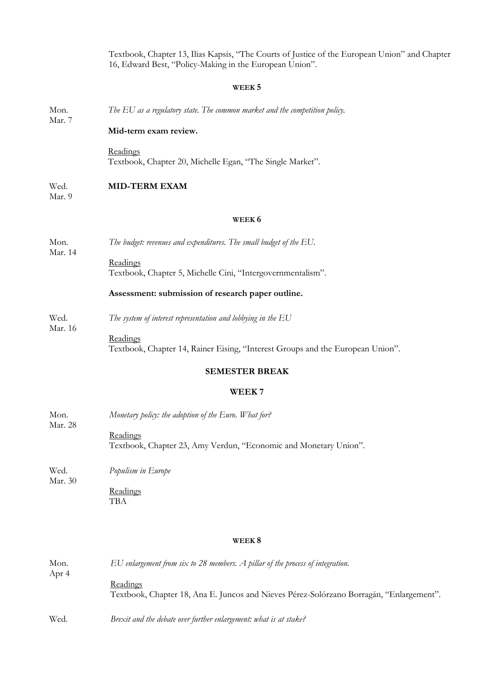Textbook, Chapter 13, Ilias Kapsis, "The Courts of Justice of the European Union" and Chapter 16, Edward Best, "Policy-Making in the European Union".

## **WEEK 5**

Mon. *The EU as a regulatory state. The common market and the competition policy.* 

#### **Mid-term exam review.**

Readings Textbook, Chapter 20, Michelle Egan, "The Single Market".

#### Wed. **MID-TERM EXAM**

Mar. 9

Mar. 14

Mar. 16

Mar. 28

Mar. 7

#### **WEEK 6**

- Mon. *The budget: revenues and expenditures. The small budget of the EU.*
	- Readings Textbook, Chapter 5, Michelle Cini, "Intergovernmentalism".

#### **Assessment: submission of research paper outline.**

- Wed. *The system of interest representation and lobbying in the EU*
	- **Readings** Textbook, Chapter 14, Rainer Eising, "Interest Groups and the European Union".

### **SEMESTER BREAK**

### **WEEK 7**

- Mon. *Monetary policy: the adoption of the Euro. What for?* 
	- **Readings** Textbook, Chapter 23, Amy Verdun, "Economic and Monetary Union".

Wed. Mar. 30 *Populism in Europe*

> **Readings** TBA

### **WEEK 8**

| Mon.<br>Apr 4 | $EU$ enlargement from six to 28 members. A pillar of the process of integration.                    |
|---------------|-----------------------------------------------------------------------------------------------------|
|               | Readings<br>Textbook, Chapter 18, Ana E. Juncos and Nieves Pérez-Solórzano Borragán, "Enlargement". |
| Wed.          | Brexit and the debate over further enlargement: what is at stake?                                   |